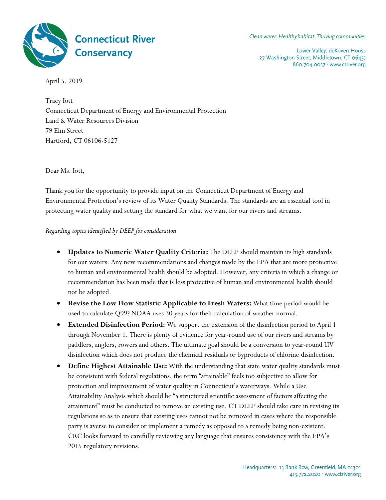

Clean water. Healthy habitat. Thriving communities.

Lower Valley: deKoven House 27 Washington Street, Middletown, CT 06457 860.704.0057 · www.ctriver.org

April 5, 2019

Tracy Iott Connecticut Department of Energy and Environmental Protection Land & Water Resources Division 79 Elm Street Hartford, CT 06106-5127

Dear Ms. Iott,

Thank you for the opportunity to provide input on the Connecticut Department of Energy and Environmental Protection's review of its Water Quality Standards. The standards are an essential tool in protecting water quality and setting the standard for what we want for our rivers and streams.

*Regarding topics identified by DEEP for consideration*

- **Updates to Numeric Water Quality Criteria:** The DEEP should maintain its high standards for our waters. Any new recommendations and changes made by the EPA that are more protective to human and environmental health should be adopted. However, any criteria in which a change or recommendation has been made that is less protective of human and environmental health should not be adopted.
- **Revise the Low Flow Statistic Applicable to Fresh Waters:** What time period would be used to calculate Q99? NOAA uses 30 years for their calculation of weather normal.
- **Extended Disinfection Period:** We support the extension of the disinfection period to April 1 through November 1. There is plenty of evidence for year-round use of our rivers and streams by paddlers, anglers, rowers and others. The ultimate goal should be a conversion to year-round UV disinfection which does not produce the chemical residuals or byproducts of chlorine disinfection.
- **Define Highest Attainable Use:** With the understanding that state water quality standards must be consistent with federal regulations, the term "attainable" feels too subjective to allow for protection and improvement of water quality in Connecticut's waterways. While a Use Attainability Analysis which should be "a structured scientific assessment of factors affecting the attainment" must be conducted to remove an existing use, CT DEEP should take care in revising its regulations so as to ensure that existing uses cannot not be removed in cases where the responsible party is averse to consider or implement a remedy as opposed to a remedy being non-existent. CRC looks forward to carefully reviewing any language that ensures consistency with the EPA's 2015 regulatory revisions.